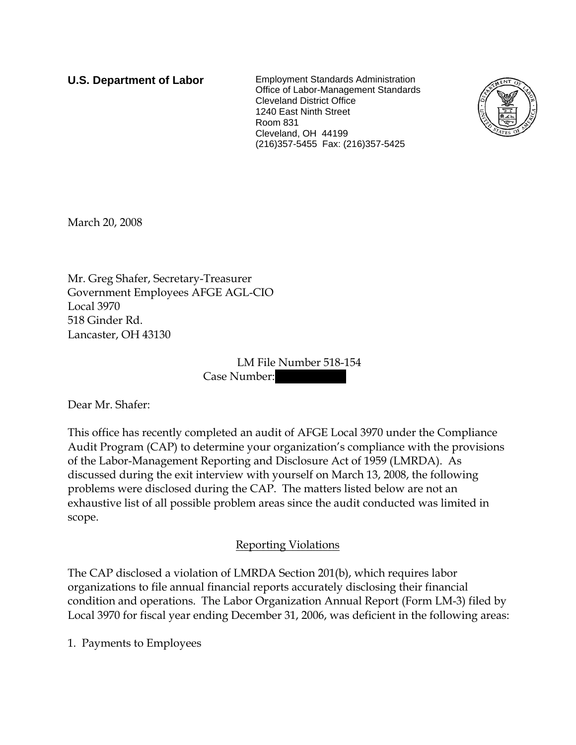**U.S. Department of Labor** Employment Standards Administration Office of Labor-Management Standards Cleveland District Office 1240 East Ninth Street Room 831 Cleveland, OH 44199 (216)357-5455 Fax: (216)357-5425



March 20, 2008

Mr. Greg Shafer, Secretary-Treasurer Government Employees AFGE AGL-CIO Local 3970 518 Ginder Rd. Lancaster, OH 43130

> LM File Number 518-154 Case Number:

Dear Mr. Shafer:

This office has recently completed an audit of AFGE Local 3970 under the Compliance Audit Program (CAP) to determine your organization's compliance with the provisions of the Labor-Management Reporting and Disclosure Act of 1959 (LMRDA). As discussed during the exit interview with yourself on March 13, 2008, the following problems were disclosed during the CAP. The matters listed below are not an exhaustive list of all possible problem areas since the audit conducted was limited in scope.

## Reporting Violations

The CAP disclosed a violation of LMRDA Section 201(b), which requires labor organizations to file annual financial reports accurately disclosing their financial condition and operations. The Labor Organization Annual Report (Form LM-3) filed by Local 3970 for fiscal year ending December 31, 2006, was deficient in the following areas:

1. Payments to Employees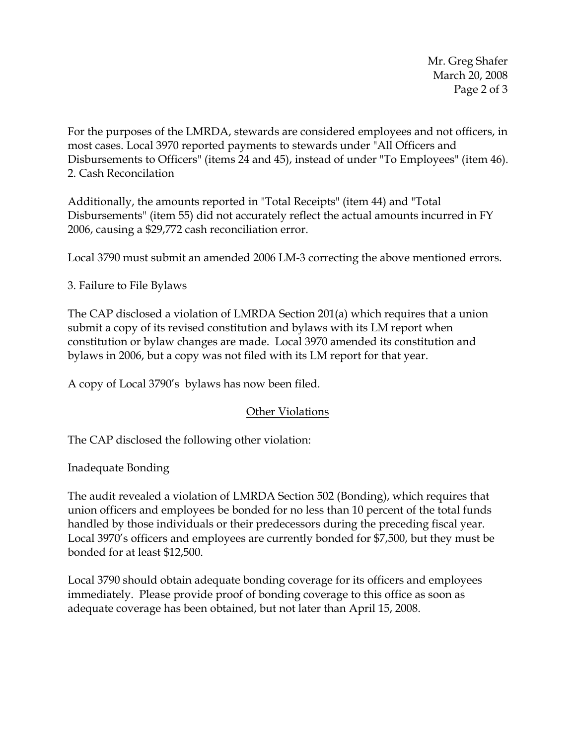Mr. Greg Shafer March 20, 2008 Page 2 of 3

For the purposes of the LMRDA, stewards are considered employees and not officers, in most cases. Local 3970 reported payments to stewards under "All Officers and Disbursements to Officers" (items 24 and 45), instead of under "To Employees" (item 46). 2. Cash Reconcilation

Additionally, the amounts reported in "Total Receipts" (item 44) and "Total Disbursements" (item 55) did not accurately reflect the actual amounts incurred in FY 2006, causing a \$29,772 cash reconciliation error.

Local 3790 must submit an amended 2006 LM-3 correcting the above mentioned errors.

## 3. Failure to File Bylaws

The CAP disclosed a violation of LMRDA Section 201(a) which requires that a union submit a copy of its revised constitution and bylaws with its LM report when constitution or bylaw changes are made. Local 3970 amended its constitution and bylaws in 2006, but a copy was not filed with its LM report for that year.

A copy of Local 3790's bylaws has now been filed.

## Other Violations

The CAP disclosed the following other violation:

Inadequate Bonding

The audit revealed a violation of LMRDA Section 502 (Bonding), which requires that union officers and employees be bonded for no less than 10 percent of the total funds handled by those individuals or their predecessors during the preceding fiscal year. Local 3970's officers and employees are currently bonded for \$7,500, but they must be bonded for at least \$12,500.

Local 3790 should obtain adequate bonding coverage for its officers and employees immediately. Please provide proof of bonding coverage to this office as soon as adequate coverage has been obtained, but not later than April 15, 2008.